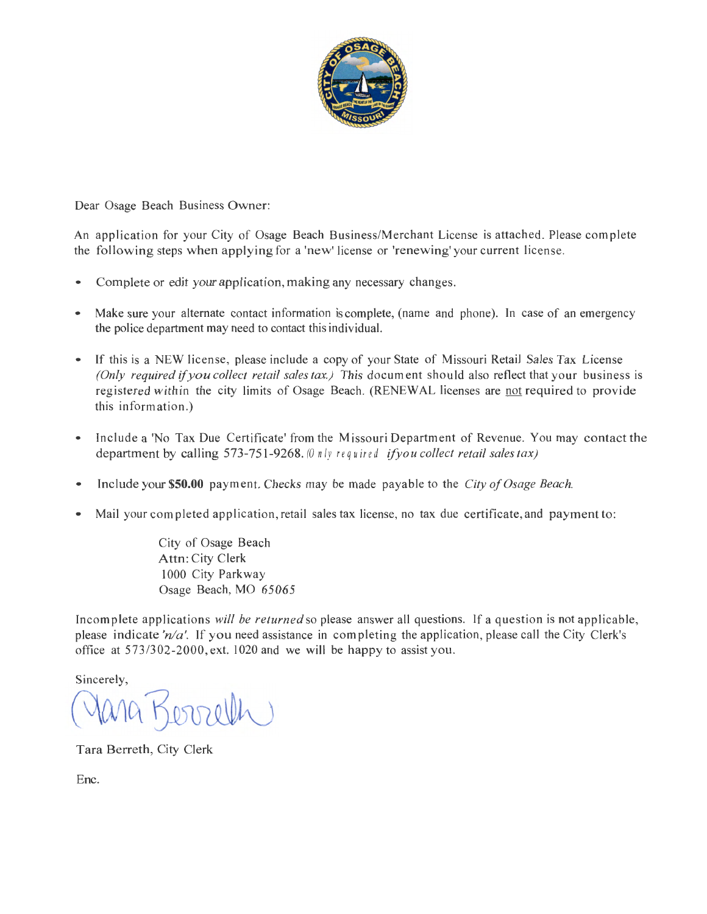

Dear Osage Beach Business Owner:

An application for your City of Osage Beach Business/Merchant License is attached. Please complete the following steps when applying for a 'new' license or 'renewing' your current license.

- Complete or edit your application, making any necessary changes.
- Make sure your alternate contact information is complete, (name and phone). In case of an emergency the police department may need to contact this individual.
- If this is a NEW license, please include a copy of your State of Missouri Retail Sales Tax License *(Only required if you collect retail sales tax.)* This document should also reflect that your business is registered within the city limits of Osage Beach. (RENEWAL licenses are not required to provide this information.)
- Include a 'No Tax Due Certificate' from the Missouri Department of Revenue. You may contact the department by calling 573-751-9268. *(0 n lv required ifyou collect retail sales tax)*
- Include your **\$50.00** payment. Checks may be made payable to the *City of Osage Beach.*
- Mail your completed application, retail sales tax license, no tax due certificate, and payment to:

City of Osage Beach Attn: City Clerk 1000 City Parkway Osage Beach, MO 65065

Incomplete applications *will be returned* so please answer all questions. If a question is not applicable, please indicate *'nla'.* If you need assistance in completing the application, please call the City Clerk's office at 573/302-2000, ext. 1020 and we will be happy to assist you.

Sincerely,

 $(\sqrt{\omega_0})$ 

Tara Berreth, City Clerk

Enc.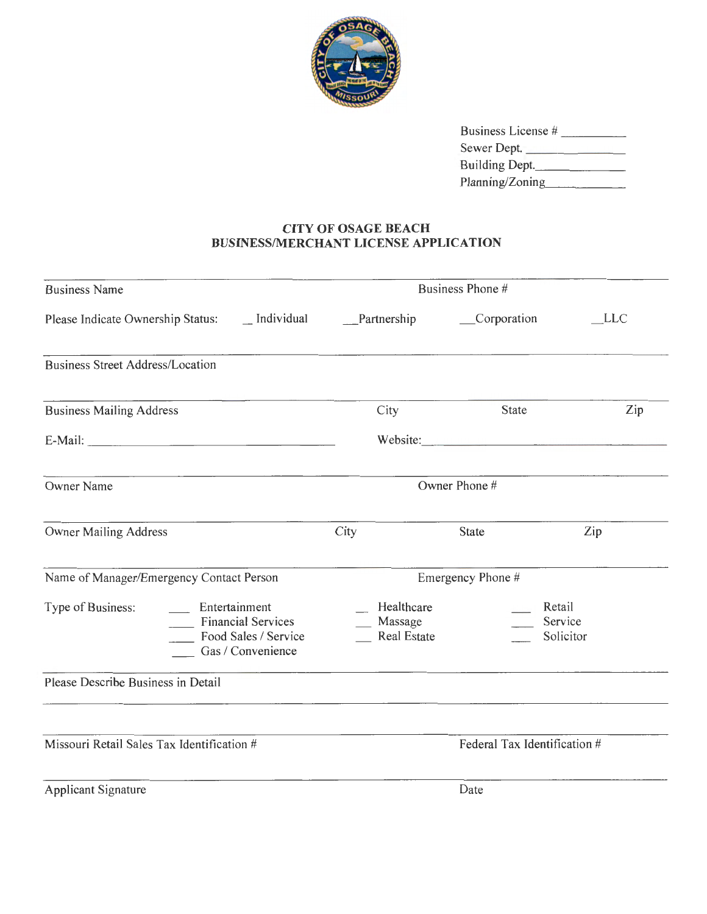

| Business License # |
|--------------------|
| Sewer Dept.        |
| Building Dept.     |
| Planning/Zoning    |
|                    |

## **CITY OF OSAGE BEACH BUSINESS/MERCHANT LICENSE APPLICATION**

| <b>Business Name</b>                                                                                                           | Business Phone #                               |                   |                                |  |
|--------------------------------------------------------------------------------------------------------------------------------|------------------------------------------------|-------------------|--------------------------------|--|
| Please Indicate Ownership Status: __ Individual __________________________________Corporation                                  |                                                |                   | <b>LLC</b>                     |  |
| <b>Business Street Address/Location</b>                                                                                        |                                                |                   |                                |  |
| <b>Business Mailing Address</b>                                                                                                | City                                           | State             | Zip                            |  |
|                                                                                                                                |                                                |                   |                                |  |
| <u> 1980 - Jan James, maria eta biztanleria (h. 1908).</u><br>Owner Name                                                       | Owner Phone #                                  |                   |                                |  |
| <b>Owner Mailing Address</b>                                                                                                   | City                                           | <b>State</b>      | Zip                            |  |
| Name of Manager/Emergency Contact Person                                                                                       |                                                | Emergency Phone # |                                |  |
| $\overline{\phantom{a}}$ Entertainment<br>Type of Business:<br>Financial Services<br>Food Sales / Service<br>Gas / Convenience | Healthcare<br>__ Massage<br><b>Real Estate</b> |                   | Retail<br>Service<br>Solicitor |  |
| Please Describe Business in Detail                                                                                             |                                                |                   |                                |  |
| Missouri Retail Sales Tax Identification #                                                                                     | Federal Tax Identification #                   |                   |                                |  |
| <b>Applicant Signature</b>                                                                                                     |                                                | Date              |                                |  |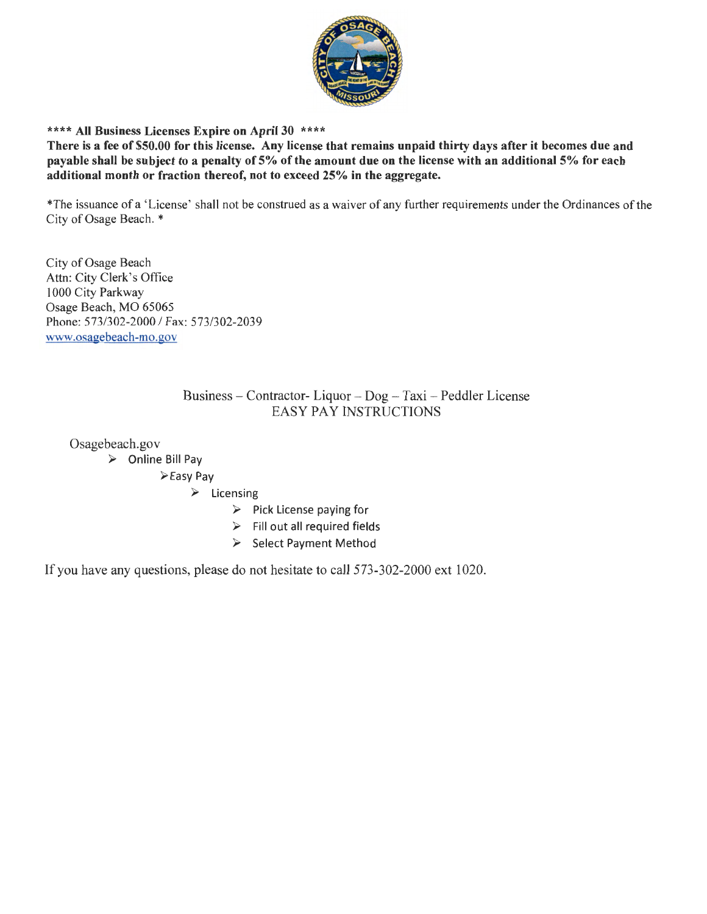

## \*\*\*\* **All Business Licenses Expire on April 30** \*\*\*\*

**There is a fee of \$50.00 for this license. Any license that remains unpaid thirty days after it becomes due and payable shall be subject to a penalty of 5% of the amount due on the license with an additional 5% for each additional month or fraction thereof, not to exceed 25% in the aggregate.** 

\*The issuance of a 'License' shall not be construed as a waiver of any further requirements under the Ordinances of the City of Osage Beach. \*

City of Osage Beach Attn: City Clerk's Office I 000 City Parkway Osage Beach, MO 65065 Phone: 573/302-2000 / Fax: 573/302-2039 www.osagebeach-mo.gov

## Business - Contractor- Liquor - Dog - Taxi - Peddler License EASY PAY INSTRUCTIONS

Osage beach.gov

► Online Bill Pay

Easy Pay

► Licensing

- ► Pick License paying for
- ► Fill out all required fields
- ► Select Payment Method

If you have any questions, please do not hesitate to call 573-302-2000 ext 1020.